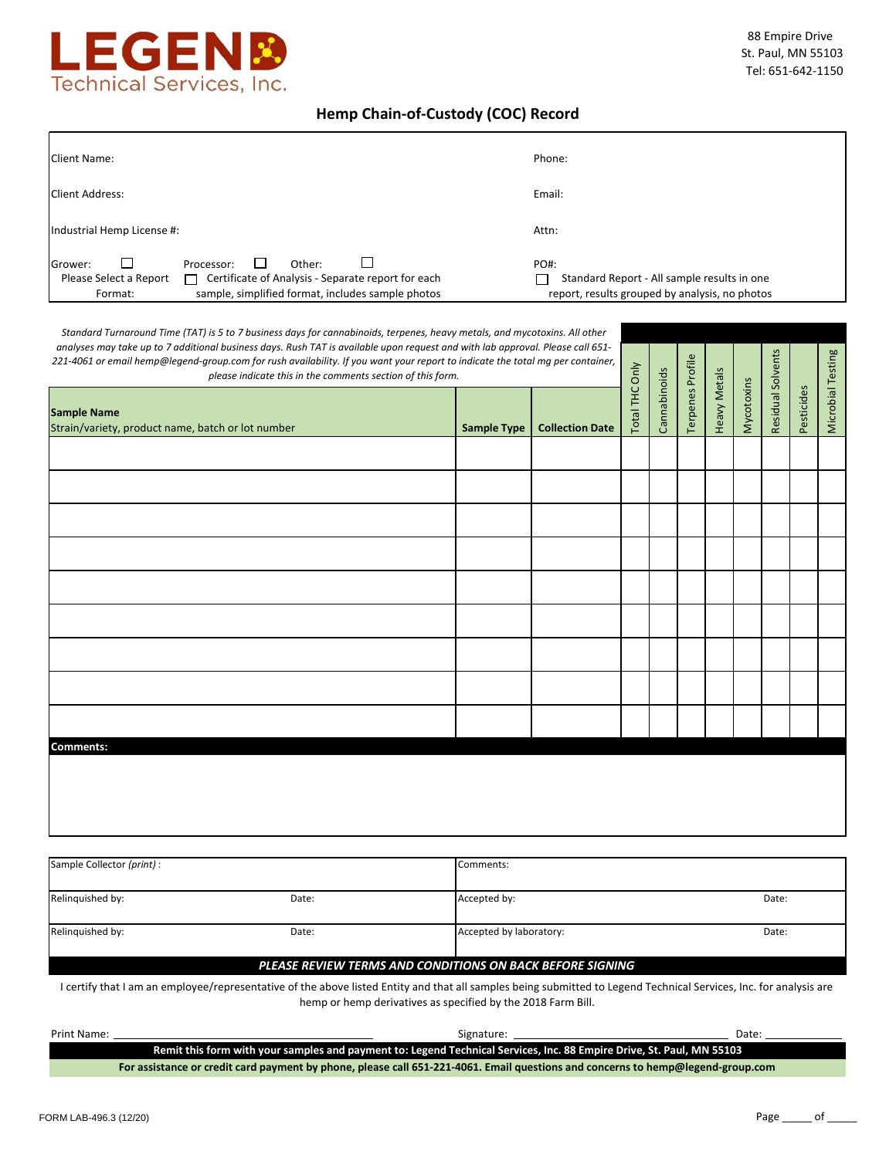

# **Hemp Chain-of-Custody (COC) Record**

| <b>Client Name:</b>                                                                                                                                                                  | Phone:                                                                                                       |
|--------------------------------------------------------------------------------------------------------------------------------------------------------------------------------------|--------------------------------------------------------------------------------------------------------------|
| <b>Client Address:</b>                                                                                                                                                               | Email:                                                                                                       |
| Industrial Hemp License #:                                                                                                                                                           | Attn:                                                                                                        |
| Grower:<br>Other:<br>Processor:<br>Certificate of Analysis - Separate report for each<br>Please Select a Report<br>П<br>sample, simplified format, includes sample photos<br>Format: | <b>PO#:</b><br>Standard Report - All sample results in one<br>report, results grouped by analysis, no photos |

| Standard Turnaround Time (TAT) is 5 to 7 business days for cannabinoids, terpenes, heavy metals, and mycotoxins. All other<br>analyses may take up to 7 additional business days. Rush TAT is available upon request and with lab approval. Please call 651-<br>221-4061 or email hemp@legend-group.com for rush availability. If you want your report to indicate the total mg per container,<br>please indicate this in the comments section of this form. |                    |                        |                |              |                  |                     |            |                   |            |                   |
|--------------------------------------------------------------------------------------------------------------------------------------------------------------------------------------------------------------------------------------------------------------------------------------------------------------------------------------------------------------------------------------------------------------------------------------------------------------|--------------------|------------------------|----------------|--------------|------------------|---------------------|------------|-------------------|------------|-------------------|
| <b>Sample Name</b><br>Strain/variety, product name, batch or lot number                                                                                                                                                                                                                                                                                                                                                                                      | <b>Sample Type</b> | <b>Collection Date</b> | Total THC Only | Cannabinoids | Terpenes Profile | <b>Heavy Metals</b> | Mycotoxins | Residual Solvents | Pesticides | Microbial Testing |
|                                                                                                                                                                                                                                                                                                                                                                                                                                                              |                    |                        |                |              |                  |                     |            |                   |            |                   |
|                                                                                                                                                                                                                                                                                                                                                                                                                                                              |                    |                        |                |              |                  |                     |            |                   |            |                   |
|                                                                                                                                                                                                                                                                                                                                                                                                                                                              |                    |                        |                |              |                  |                     |            |                   |            |                   |
|                                                                                                                                                                                                                                                                                                                                                                                                                                                              |                    |                        |                |              |                  |                     |            |                   |            |                   |
|                                                                                                                                                                                                                                                                                                                                                                                                                                                              |                    |                        |                |              |                  |                     |            |                   |            |                   |
|                                                                                                                                                                                                                                                                                                                                                                                                                                                              |                    |                        |                |              |                  |                     |            |                   |            |                   |
|                                                                                                                                                                                                                                                                                                                                                                                                                                                              |                    |                        |                |              |                  |                     |            |                   |            |                   |
|                                                                                                                                                                                                                                                                                                                                                                                                                                                              |                    |                        |                |              |                  |                     |            |                   |            |                   |
|                                                                                                                                                                                                                                                                                                                                                                                                                                                              |                    |                        |                |              |                  |                     |            |                   |            |                   |
| <b>Comments:</b>                                                                                                                                                                                                                                                                                                                                                                                                                                             |                    |                        |                |              |                  |                     |            |                   |            |                   |
|                                                                                                                                                                                                                                                                                                                                                                                                                                                              |                    |                        |                |              |                  |                     |            |                   |            |                   |
|                                                                                                                                                                                                                                                                                                                                                                                                                                                              |                    |                        |                |              |                  |                     |            |                   |            |                   |

| Sample Collector (print): |       | Comments:                                                 |       |
|---------------------------|-------|-----------------------------------------------------------|-------|
| Relinguished by:          | Date: | Accepted by:                                              | Date: |
| Relinguished by:          | Date: | Accepted by laboratory:                                   | Date: |
|                           |       | PLEASE REVIEW TERMS AND CONDITIONS ON BACK BEFORE SIGNING |       |

I certify that I am an employee/representative of the above listed Entity and that all samples being submitted to Legend Technical Services, Inc. for analysis are hemp or hemp derivatives as specified by the 2018 Farm Bill.

| Print Name:                                                                                                           |                                                                                                                                 | Signature: | Date: |  |  |
|-----------------------------------------------------------------------------------------------------------------------|---------------------------------------------------------------------------------------------------------------------------------|------------|-------|--|--|
| Remit this form with your samples and payment to: Legend Technical Services, Inc. 88 Empire Drive, St. Paul, MN 55103 |                                                                                                                                 |            |       |  |  |
|                                                                                                                       | For assistance or credit card payment by phone, please call 651-221-4061. Email questions and concerns to hemp@legend-group.com |            |       |  |  |